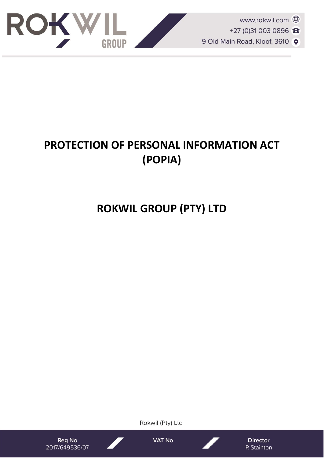

# **PROTECTION OF PERSONAL INFORMATION ACT (POPIA)**

# **ROKWIL GROUP (PTY) LTD**

Rokwil (Pty) Ltd

Reg No 2017/649536/07 **VAT No** 

**Director** R Stainton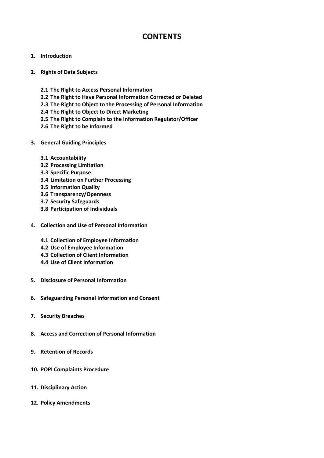# **CONTENTS**

# **1. Introduction**

- **2. Rights of Data Subjects**
	- **2.1 The Right to Access Personal Information**
	- **2.2 The Right to Have Personal Information Corrected or Deleted**
	- **2.3 The Right to Object to the Processing of Personal Information**
	- **2.4 The Right to Object to Direct Marketing**
	- **2.5 The Right to Complain to the Information Regulator/Officer**
	- **2.6 The Right to be Informed**
- **3. General Guiding Principles**
	- **3.1 Accountability**
	- **3.2 Processing Limitation**
	- **3.3 Specific Purpose**
	- **3.4 Limitation on Further Processing**
	- **3.5 Information Quality**
	- **3.6 Transparency/Openness**
	- **3.7 Security Safeguards**
	- **3.8 Participation of Individuals**
- **4. Collection and Use of Personal Information** 
	- **4.1 Collection of Employee Information**
	- **4.2 Use of Employee Information**
	- **4.3 Collection of Client Information**
	- **4.4 Use of Client Information**
- **5. Disclosure of Personal Information**
- **6. Safeguarding Personal Information and Consent**
- **7. Security Breaches**
- **8. Access and Correction of Personal Information**
- **9. Retention of Records**
- **10. POPI Complaints Procedure**
- **11. Disciplinary Action**
- **12. Policy Amendments**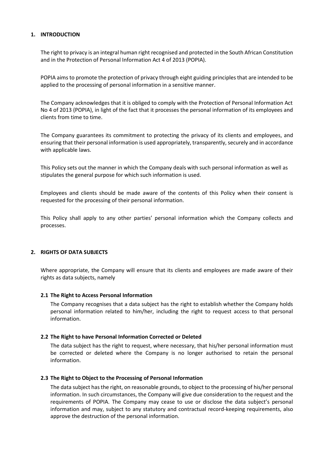# **1. INTRODUCTION**

The right to privacy is an integral human right recognised and protected in the South African Constitution and in the Protection of Personal Information Act 4 of 2013 (POPIA).

POPIA aims to promote the protection of privacy through eight guiding principles that are intended to be applied to the processing of personal information in a sensitive manner.

The Company acknowledges that it is obliged to comply with the Protection of Personal Information Act No 4 of 2013 (POPIA), in light of the fact that it processes the personal information of its employees and clients from time to time.

The Company guarantees its commitment to protecting the privacy of its clients and employees, and ensuring that their personal information is used appropriately, transparently, securely and in accordance with applicable laws.

This Policy sets out the manner in which the Company deals with such personal information as well as stipulates the general purpose for which such information is used.

Employees and clients should be made aware of the contents of this Policy when their consent is requested for the processing of their personal information.

This Policy shall apply to any other parties' personal information which the Company collects and processes.

# **2. RIGHTS OF DATA SUBJECTS**

Where appropriate, the Company will ensure that its clients and employees are made aware of their rights as data subjects, namely

# **2.1 The Right to Access Personal Information**

The Company recognises that a data subject has the right to establish whether the Company holds personal information related to him/her, including the right to request access to that personal information.

# **2.2 The Right to have Personal Information Corrected or Deleted**

The data subject has the right to request, where necessary, that his/her personal information must be corrected or deleted where the Company is no longer authorised to retain the personal information.

# **2.3 The Right to Object to the Processing of Personal Information**

The data subject has the right, on reasonable grounds, to object to the processing of his/her personal information. In such circumstances, the Company will give due consideration to the request and the requirements of POPIA. The Company may cease to use or disclose the data subject's personal information and may, subject to any statutory and contractual record-keeping requirements, also approve the destruction of the personal information.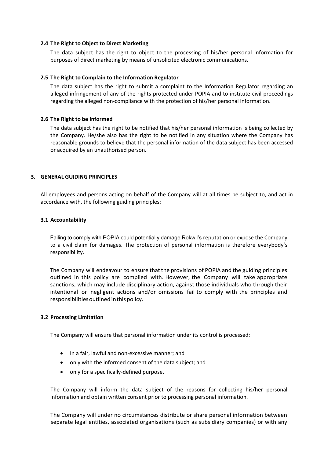#### **2.4 The Right to Object to Direct Marketing**

The data subject has the right to object to the processing of his/her personal information for purposes of direct marketing by means of unsolicited electronic communications.

#### **2.5 The Right to Complain to the Information Regulator**

The data subject has the right to submit a complaint to the Information Regulator regarding an alleged infringement of any of the rights protected under POPIA and to institute civil proceedings regarding the alleged non-compliance with the protection of his/her personal information.

#### **2.6 The Right to be Informed**

The data subject has the right to be notified that his/her personal information is being collected by the Company. He/she also has the right to be notified in any situation where the Company has reasonable grounds to believe that the personal information of the data subject has been accessed or acquired by an unauthorised person.

#### **3. GENERAL GUIDING PRINCIPLES**

All employees and persons acting on behalf of the Company will at all times be subject to, and act in accordance with, the following guiding principles:

#### **3.1 Accountability**

Failing to comply with POPIA could potentially damage Rokwil's reputation or expose the Company to a civil claim for damages. The protection of personal information is therefore everybody's responsibility.

The Company will endeavour to ensure that the provisions of POPIA and the guiding principles outlined in this policy are complied with. However, the Company will take appropriate sanctions, which may include disciplinary action, against those individuals who through their intentional or negligent actions and/or omissions fail to comply with the principles and responsibilities outlined in this policy.

# **3.2 Processing Limitation**

The Company will ensure that personal information under its control is processed:

- In a fair, lawful and non-excessive manner; and
- only with the informed consent of the data subject; and
- only for a specifically-defined purpose.

The Company will inform the data subject of the reasons for collecting his/her personal information and obtain written consent prior to processing personal information.

The Company will under no circumstances distribute or share personal information between separate legal entities, associated organisations (such as subsidiary companies) or with any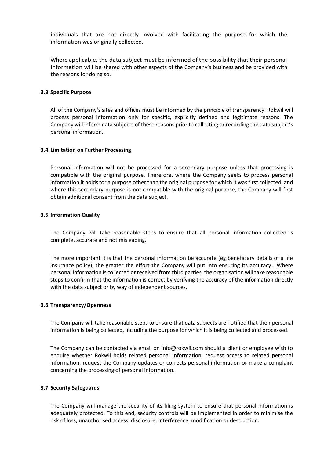individuals that are not directly involved with facilitating the purpose for which the information was originally collected.

Where applicable, the data subject must be informed of the possibility that their personal information will be shared with other aspects of the Company's business and be provided with the reasons for doing so.

#### **3.3 Specific Purpose**

All of the Company's sites and offices must be informed by the principle of transparency. Rokwil will process personal information only for specific, explicitly defined and legitimate reasons. The Company will inform data subjects of these reasons prior to collecting or recording the data subject's personal information.

#### **3.4 Limitation on Further Processing**

Personal information will not be processed for a secondary purpose unless that processing is compatible with the original purpose. Therefore, where the Company seeks to process personal information it holds for a purpose other than the original purpose for which it was first collected, and where this secondary purpose is not compatible with the original purpose, the Company will first obtain additional consent from the data subject.

#### **3.5 Information Quality**

The Company will take reasonable steps to ensure that all personal information collected is complete, accurate and not misleading.

The more important it is that the personal information be accurate (eg beneficiary details of a life insurance policy), the greater the effort the Company will put into ensuring its accuracy. Where personal information is collected or received from third parties, the organisation will take reasonable steps to confirm that the information is correct by verifying the accuracy of the information directly with the data subject or by way of independent sources.

#### **3.6 Transparency/Openness**

The Company will take reasonable steps to ensure that data subjects are notified that their personal information is being collected, including the purpose for which it is being collected and processed.

The Company can be contacted via email on info@rokwil.com should a client or employee wish to enquire whether Rokwil holds related personal information, request access to related personal information, request the Company updates or corrects personal information or make a complaint concerning the processing of personal information.

#### **3.7 Security Safeguards**

The Company will manage the security of its filing system to ensure that personal information is adequately protected. To this end, security controls will be implemented in order to minimise the risk of loss, unauthorised access, disclosure, interference, modification or destruction.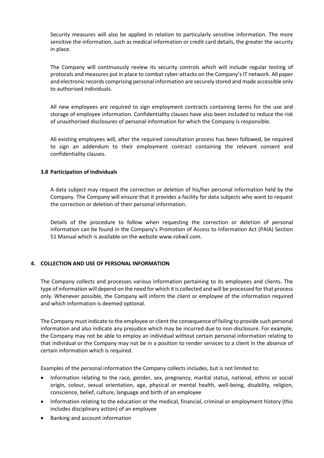Security measures will also be applied in relation to particularly sensitive information. The more sensitive the information, such as medical information or credit card details, the greater the security in place.

The Company will continuously review its security controls which will include regular testing of protocols and measures put in place to combat cyber-attacks on the Company's IT network. All paper and electronic records comprising personal information are securely stored and made accessible only to authorised individuals.

All new employees are required to sign employment contracts containing terms for the use and storage of employee information. Confidentiality clauses have also been included to reduce the risk of unauthorised disclosures of personal information for which the Company is responsible.

All existing employees will, after the required consultation process has been followed, be required to sign an addendum to their employment contract containing the relevant consent and confidentiality clauses.

# **3.8 Participation of Individuals**

A data subject may request the correction or deletion of his/her personal information held by the Company. The Company will ensure that it provides a facility for data subjects who want to request the correction or deletion of their personal information.

Details of the procedure to follow when requesting the correction or deletion of personal information can be found in the Company's Promotion of Access to Information Act (PAIA) Section 51 Manual which is available on the website www.rokwil.com.

# **4. COLLECTION AND USE OF PERSONAL INFORMATION**

The Company collects and processes various information pertaining to its employees and clients. The type of information will depend on the need for which it is collected and will be processed for that process only. Whenever possible, the Company will inform the client or employee of the information required and which information is deemed optional.

The Company must indicate to the employee or client the consequence of failing to provide such personal information and also indicate any prejudice which may be incurred due to non-disclosure. For example, the Company may not be able to employ an individual without certain personal information relating to that individual or the Company may not be in a position to render services to a client in the absence of certain information which is required.

Examples of the personal information the Company collects includes, but is not limited to:

- Information relating to the race, gender, sex, pregnancy, marital status, national, ethnic or social origin, colour, sexual orientation, age, physical or mental health, well-being, disability, religion, conscience, belief, culture, language and birth of an employee
- Information relating to the education or the medical, financial, criminal or employment history (this includes disciplinary action) of an employee
- Banking and account information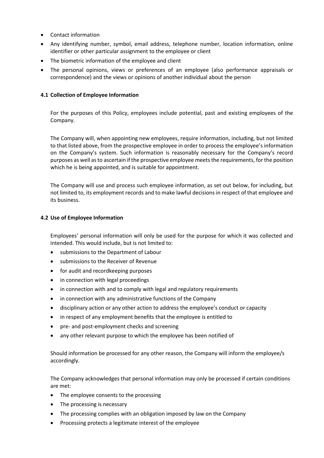- Contact information
- Any identifying number, symbol, email address, telephone number, location information, online identifier or other particular assignment to the employee or client
- The biometric information of the employee and client
- The personal opinions, views or preferences of an employee (also performance appraisals or correspondence) and the views or opinions of another individual about the person

# **4.1 Collection of Employee Information**

For the purposes of this Policy, employees include potential, past and existing employees of the Company.

The Company will, when appointing new employees, require information, including, but not limited to that listed above, from the prospective employee in order to process the employee's information on the Company's system. Such information is reasonably necessary for the Company's record purposes as well as to ascertain if the prospective employee meets the requirements, for the position which he is being appointed, and is suitable for appointment.

The Company will use and process such employee information, as set out below, for including, but not limited to, its employment records and to make lawful decisions in respect of that employee and its business.

# **4.2 Use of Employee Information**

Employees' personal information will only be used for the purpose for which it was collected and intended. This would include, but is not limited to:

- submissions to the Department of Labour
- submissions to the Receiver of Revenue
- for audit and recordkeeping purposes
- in connection with legal proceedings
- in connection with and to comply with legal and regulatory requirements
- in connection with any administrative functions of the Company
- disciplinary action or any other action to address the employee's conduct or capacity
- in respect of any employment benefits that the employee is entitled to
- pre- and post-employment checks and screening
- any other relevant purpose to which the employee has been notified of

Should information be processed for any other reason, the Company will inform the employee/s accordingly.

The Company acknowledges that personal information may only be processed if certain conditions are met:

- The employee consents to the processing
- The processing is necessary
- The processing complies with an obligation imposed by law on the Company
- Processing protects a legitimate interest of the employee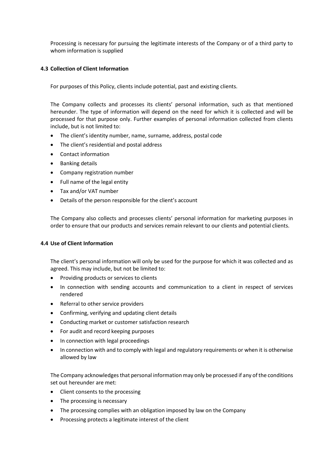Processing is necessary for pursuing the legitimate interests of the Company or of a third party to whom information is supplied

# **4.3 Collection of Client Information**

For purposes of this Policy, clients include potential, past and existing clients.

The Company collects and processes its clients' personal information, such as that mentioned hereunder. The type of information will depend on the need for which it is collected and will be processed for that purpose only. Further examples of personal information collected from clients include, but is not limited to:

- The client's identity number, name, surname, address, postal code
- The client's residential and postal address
- Contact information
- Banking details
- Company registration number
- Full name of the legal entity
- Tax and/or VAT number
- Details of the person responsible for the client's account

The Company also collects and processes clients' personal information for marketing purposes in order to ensure that our products and services remain relevant to our clients and potential clients.

# **4.4 Use of Client Information**

The client's personal information will only be used for the purpose for which it was collected and as agreed. This may include, but not be limited to:

- Providing products or services to clients
- In connection with sending accounts and communication to a client in respect of services rendered
- Referral to other service providers
- Confirming, verifying and updating client details
- Conducting market or customer satisfaction research
- For audit and record keeping purposes
- In connection with legal proceedings
- In connection with and to comply with legal and regulatory requirements or when it is otherwise allowed by law

The Company acknowledges that personal information may only be processed if any of the conditions set out hereunder are met:

- Client consents to the processing
- The processing is necessary
- The processing complies with an obligation imposed by law on the Company
- Processing protects a legitimate interest of the client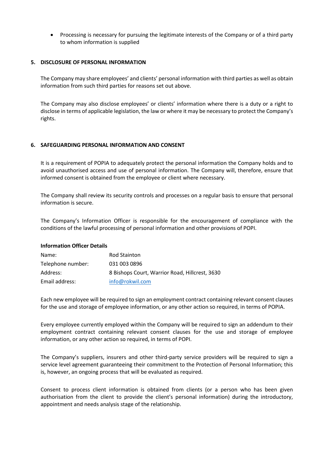• Processing is necessary for pursuing the legitimate interests of the Company or of a third party to whom information is supplied

# **5. DISCLOSURE OF PERSONAL INFORMATION**

The Company may share employees' and clients' personal information with third parties as well as obtain information from such third parties for reasons set out above.

The Company may also disclose employees' or clients' information where there is a duty or a right to disclose in terms of applicable legislation, the law or where it may be necessary to protect the Company's rights.

# **6. SAFEGUARDING PERSONAL INFORMATION AND CONSENT**

It is a requirement of POPIA to adequately protect the personal information the Company holds and to avoid unauthorised access and use of personal information. The Company will, therefore, ensure that informed consent is obtained from the employee or client where necessary.

The Company shall review its security controls and processes on a regular basis to ensure that personal information is secure.

The Company's Information Officer is responsible for the encouragement of compliance with the conditions of the lawful processing of personal information and other provisions of POPI.

# **Information Officer Details**

| Name:             | <b>Rod Stainton</b>                            |
|-------------------|------------------------------------------------|
| Telephone number: | 031 003 0896                                   |
| Address:          | 8 Bishops Court, Warrior Road, Hillcrest, 3630 |
| Email address:    | info@rokwil.com                                |

Each new employee will be required to sign an employment contract containing relevant consent clauses for the use and storage of employee information, or any other action so required, in terms of POPIA.

Every employee currently employed within the Company will be required to sign an addendum to their employment contract containing relevant consent clauses for the use and storage of employee information, or any other action so required, in terms of POPI.

The Company's suppliers, insurers and other third-party service providers will be required to sign a service level agreement guaranteeing their commitment to the Protection of Personal Information; this is, however, an ongoing process that will be evaluated as required.

Consent to process client information is obtained from clients (or a person who has been given authorisation from the client to provide the client's personal information) during the introductory, appointment and needs analysis stage of the relationship.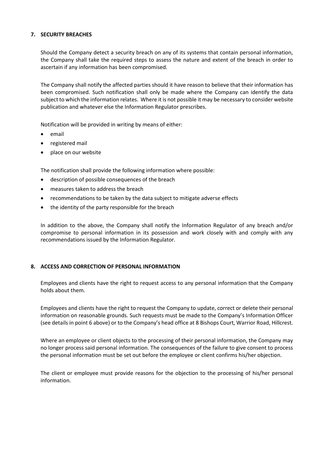# **7. SECURITY BREACHES**

Should the Company detect a security breach on any of its systems that contain personal information, the Company shall take the required steps to assess the nature and extent of the breach in order to ascertain if any information has been compromised.

The Company shall notify the affected parties should it have reason to believe that their information has been compromised. Such notification shall only be made where the Company can identify the data subject to which the information relates. Where it is not possible it may be necessary to consider website publication and whatever else the Information Regulator prescribes.

Notification will be provided in writing by means of either:

- email
- registered mail
- place on our website

The notification shall provide the following information where possible:

- description of possible consequences of the breach
- measures taken to address the breach
- recommendations to be taken by the data subject to mitigate adverse effects
- the identity of the party responsible for the breach

In addition to the above, the Company shall notify the Information Regulator of any breach and/or compromise to personal information in its possession and work closely with and comply with any recommendations issued by the Information Regulator.

# **8. ACCESS AND CORRECTION OF PERSONAL INFORMATION**

Employees and clients have the right to request access to any personal information that the Company holds about them.

Employees and clients have the right to request the Company to update, correct or delete their personal information on reasonable grounds. Such requests must be made to the Company's Information Officer (see details in point 6 above) or to the Company's head office at 8 Bishops Court, Warrior Road, Hillcrest.

Where an employee or client objects to the processing of their personal information, the Company may no longer process said personal information. The consequences of the failure to give consent to process the personal information must be set out before the employee or client confirms his/her objection.

The client or employee must provide reasons for the objection to the processing of his/her personal information.